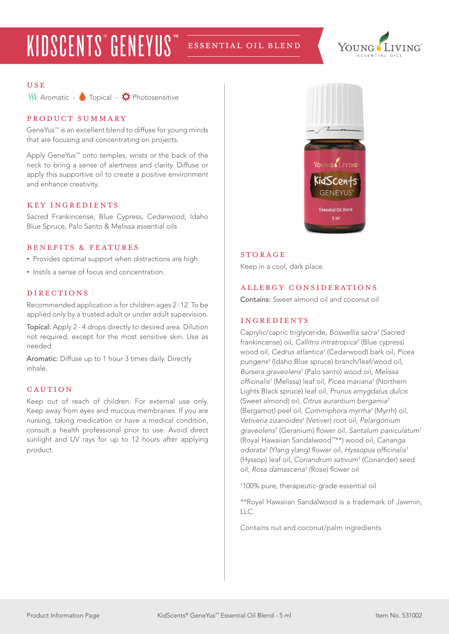## KIDSCENTS<sup>®</sup> GENEYUS<sup>™</sup> ESSENTIAL OIL BLEND



#### USE

 $W$  Aromatic -  $\bullet$  Topical -  $\stackrel{\bullet}{\bullet}$  Photosensitive

## product summary

GeneYus™ is an excellent blend to diffuse for young minds that are focusing and concentrating on projects.

Apply GeneYus™ onto temples, wrists or the back of the neck to bring a sense of alertness and clarity. Diffuse or apply this supportive oil to create a positive environment and enhance creativity.

#### KEY INGREDIENTS

Sacred Frankincense, Blue Cypress, Cedarwood, Idaho Blue Spruce, Palo Santo & Melissa essential oils

#### benefits & features

- Provides optimal support when distractions are high.
- Instils a sense of focus and concentration.

## **DIRECTIONS**

Recommended application is for children ages 2 -12. To be applied only by a trusted adult or under adult supervision.

Topical: Apply 2 - 4 drops directly to desired area. Dilution not required, except for the most sensitive skin. Use as needed.

Aromatic: Diffuse up to 1 hour 3 times daily. Directly inhale.

#### **CAUTION**

Keep out of reach of children. For external use only. Keep away from eyes and mucous membranes. If you are nursing, taking medication or have a medical condition, consult a health professional prior to use. Avoid direct sunlight and UV rays for up to 12 hours after applying product.



#### **STORAGE**

Keep in a cool, dark place.

## allergy considerations

Contains: Sweet almond oil and coconut oil

## ingredients

Caprylic/capric triglyceride, *Boswellia sacra†* (Sacred frankincense) oil*, Callitris intratropica†* (Blue cypress) wood oil, *Cedrus atlantica†* (Cedarwood) bark oil, *Picea pungens†* (Idaho Blue spruce) branch/leaf/wood oil, *Bursera graveolens†* (Palo santo) wood oil, *Melissa*  officinalis*†* (Melissa) leaf oil, *Picea mariana†* (Northern Lights Black spruce) leaf oil, *Prunus amygdalus dulcis*  (Sweet almond) oil, *Citrus aurantium bergamia†* (Bergamot) peel oil, *Commiphora myrrha†* (Myrrh) oil, *Vetiveria zizanoides†* (Vetiver) root oil, *Pelargonium graveolens†* (Geranium) flower oil, *Santalum paniculatum†* (Royal Hawaiian Sandalwood™\*\*) wood oil, *Cananga odorata†* (Ylang ylang) flower oil, Hyssopus officinalis*†* (Hyssop) leaf oil, *Coriandrum sativum†* (Coriander) seed oil, *Rosa damascena†* (Rose) flower oil

† 100% pure, therapeutic-grade essential oil

\*\*Royal Hawaiian Sandalwood is a trademark of Jawmin, LLC.

Contains nut and coconut/palm ingredients